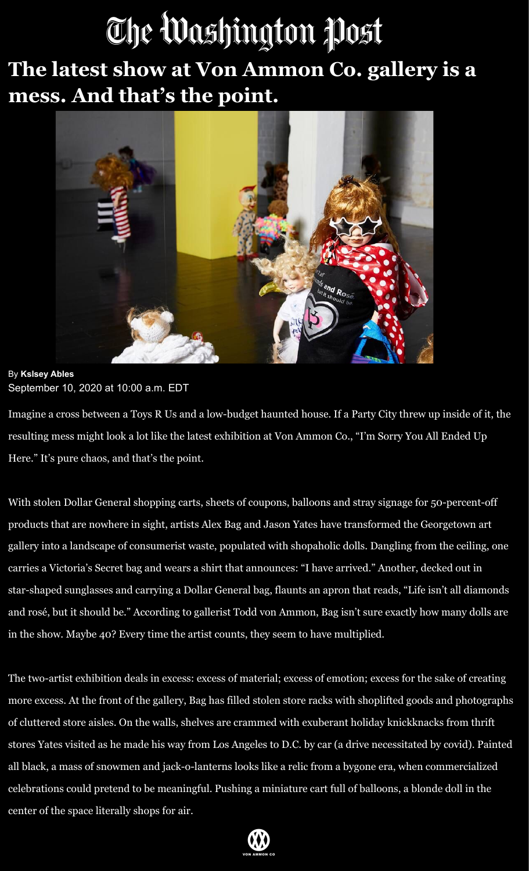## The Washington Post

**The latest show at Von Ammon Co. gallery is a mess. And that's the point.**



## By **Kslsey Ables** September 10, 2020 at 10:00 a.m. EDT

Imagine a cross between a [Toys R Us](https://www.toysrus.com/) and a low-budget haunted house. If a [Party City](https://www.partycity.com/) threw up inside of it, the resulting mess might look a lot like the latest exhibition at Von Ammon Co., "I'm Sorry You All Ended Up Here." It's pure chaos, and that's the point.

With stolen Dollar General shopping carts, sheets of coupons, balloons and stray signage for 50-percent-off products that are nowhere in sight, artists Alex Bag and Jason Yates have transformed the Georgetown art gallery into a landscape of consumerist waste, populated with shopaholic dolls. Dangling from the ceiling, one carries a Victoria's Secret bag and wears a shirt that announces: "I have arrived." Another, decked out in star-shaped sunglasses and carrying a Dollar General bag, flaunts an apron that reads, "Life isn't all diamonds and rosé, but it should be." According to gallerist Todd von Ammon, Bag isn't sure exactly how many dolls are in the show. Maybe 40? Every time the artist counts, they seem to have multiplied.

The two-artist exhibition deals in excess: excess of material; excess of emotion; excess for the sake of creating more excess. At the front of the gallery, Bag has filled stolen store racks with shoplifted goods and photographs of cluttered store aisles. On the walls, shelves are crammed with exuberant holiday knickknacks from thrift stores Yates visited as he made his way from Los Angeles to D.C. by car (a drive necessitated by covid). Painted all black, a mass of snowmen and jack-o-lanterns looks like a relic from a bygone era, when commercialized celebrations could pretend to be meaningful. Pushing a miniature cart full of balloons, a blonde doll in the center of the space literally shops for air.

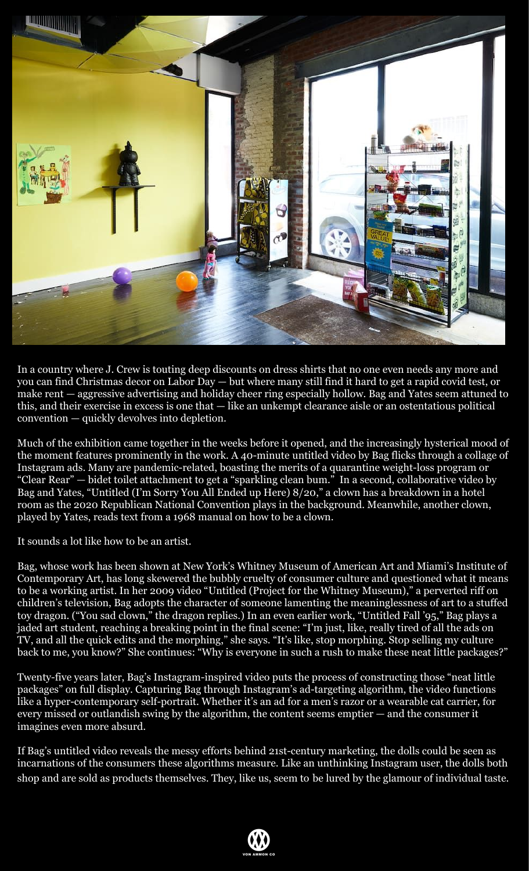

In a country where J. Crew is touting deep discounts on dress shirts that no one even needs any more and you can find Christmas decor on Labor Day — but where many still find it hard to get a rapid covid test, or make rent — aggressive advertising and holiday cheer ring especially hollow. Bag and Yates seem attuned to this, and their exercise in excess is one that — like an unkempt clearance aisle or an ostentatious political convention — quickly devolves into depletion.

Much of the exhibition came together in the weeks before it opened, and the increasingly hysterical mood of the moment features prominently in the work. A 40-minute [untitled video b](https://vimeo.com/454196926)y Bag flicks through a collage of Instagram ads. Many are pandemic-related, boasting the merits of a quarantine weight-loss program or "Clear Rear" — bidet toilet attachment to get a "sparkling clean bum." In a second, collaborative video by Bag and Yates, "[Untitled \(I'm Sorry You All Ended up Here\) 8/20,](https://vimeo.com/452960258)" a clown has a breakdown in a hotel room as the 2020 Republican National Convention plays in the background. Meanwhile, another clown, played by Yates, reads text from a 1968 manual on how to be a clown.

It sounds a lot like how to be an artist.

Bag, whose work has been shown at New York's Whitney Museum of American Art and Miami's Institute of Contemporary Art, has long skewered the bubbly cruelty of consumer culture and questioned what it means to be a working artist. In her 2009 video "[Untitled \(Project for the Whitney Museum\)](https://vimeo.com/402385183)," a perverted riff on children's television, Bag adopts the character of someone lamenting the meaninglessness of art to a stuffed toy dragon. ("You sad clown," the dragon replies.) In an even earlier work, "[Untitled Fall '95](https://vimeo.com/447888316)," Bag plays a jaded art student, reaching a breaking point in the final scene: "I'm just, like, really tired of all the ads on TV, and all the quick edits and the morphing," she says. "It's like, stop morphing. Stop selling my culture back to me, you know?" She continues: "Why is everyone in such a rush to make these neat little packages?"

Twenty-five years later, Bag's Instagram-inspired video puts the process of constructing those "neat little packages" on full display. Capturing Bag through Instagram's ad-targeting algorithm, the video functions like a hyper-contemporary self-portrait. Whether it's an ad for a men's razor or a wearable cat carrier, for every missed or outlandish swing by the algorithm, the content seems emptier — and the consumer it imagines even more absurd.

If Bag's untitled video reveals the messy efforts behind 21st-century marketing, the dolls could be seen as incarnations of the consumers these algorithms measure. Like an unthinking Instagram user, the dolls both shop and are sold as products themselves. They, like us, seem to be lured by the glamour of individual taste.